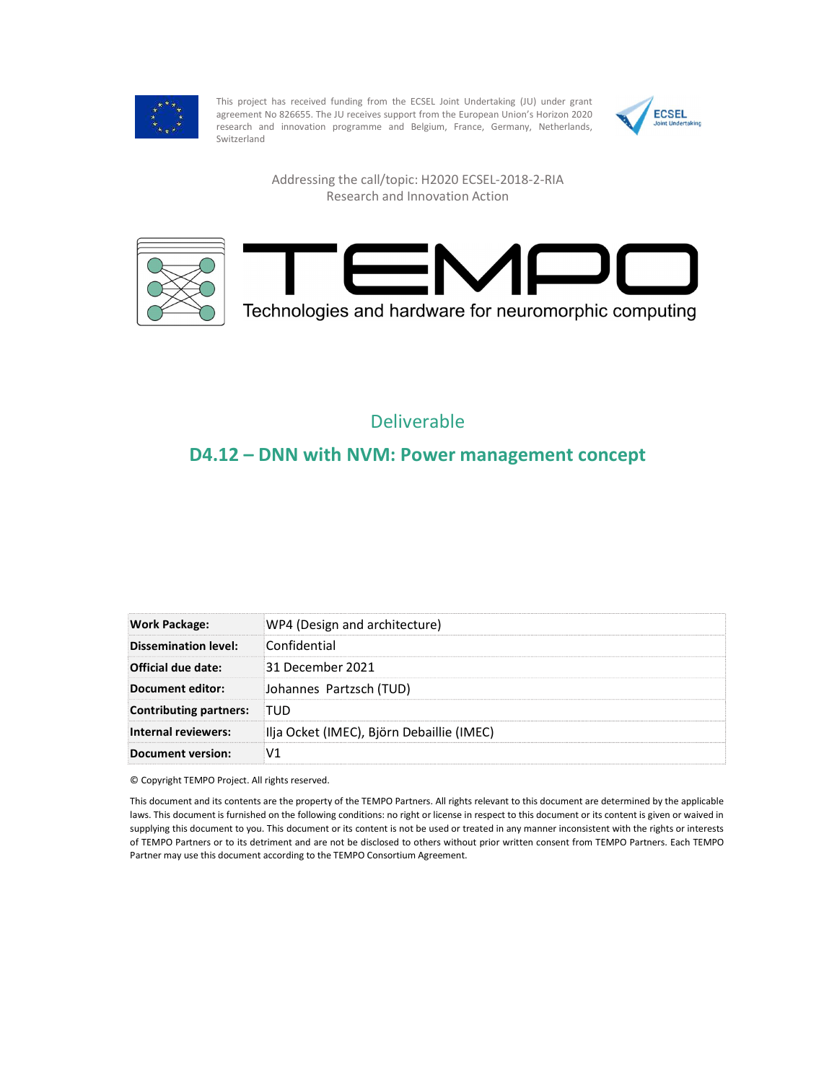

This project has received funding from the ECSEL Joint Undertaking (JU) under grant<br>agreement No.826655. The ILI receives support from the European Union's Horizon 2020 agreement No 826655. The JU receives support from the European Union's Horizon 2020 research and innovation programme and Belgium, France, Germany, Netherlands, Switzerland



Addressing the call/topic: H2020 ECSEL-2018-2-RIA Research and Innovation Action



## Deliverable

## D4.12 – DNN with NVM: Power management concept

| <b>Work Package:</b>   | WP4 (Design and architecture)             |
|------------------------|-------------------------------------------|
| Dissemination level:   | Confidential                              |
| Official due date:     | 31 December 2021                          |
| Document editor:       | Johannes Partzsch (TUD)                   |
| Contributing partners: | <b>TUD</b>                                |
| Internal reviewers:    | Ilja Ocket (IMEC), Björn Debaillie (IMEC) |
| Document version:      | V1                                        |

© Copyright TEMPO Project. All rights reserved.

This document and its contents are the property of the TEMPO Partners. All rights relevant to this document are determined by the applicable laws. This document is furnished on the following conditions: no right or license in respect to this document or its content is given or waived in supplying this document to you. This document or its content is not be used or treated in any manner inconsistent with the rights or interests of TEMPO Partners or to its detriment and are not be disclosed to others without prior written consent from TEMPO Partners. Each TEMPO Partner may use this document according to the TEMPO Consortium Agreement.